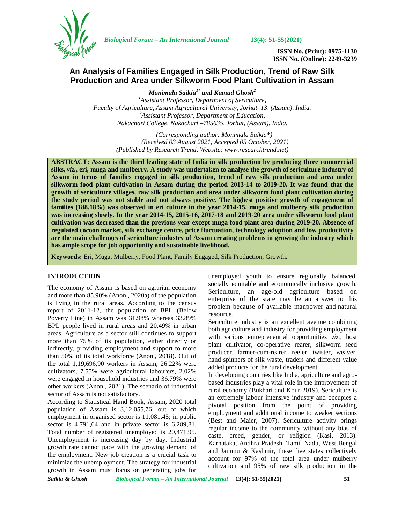

*Biological Forum – An International Journal* **13(4): 51-55(2021)**

**ISSN No. (Print): 0975-1130 ISSN No. (Online): 2249-3239**

# **An Analysis of Families Engaged in Silk Production, Trend of Raw Silk Production and Area under Silkworm Food Plant Cultivation in Assam**

*Monimala Saikia1\* and Kumud Ghosh<sup>2</sup> <sup>1</sup>Assistant Professor, Department of Sericulture, Faculty of Agriculture, Assam Agricultural University, Jorhat–13, (Assam), India. <sup>2</sup>Assistant Professor, Department of Education, Nakachari College, Nakachari –785635, Jorhat, (Assam), India.*

*(Corresponding author: Monimala Saikia\*) (Received 03 August 2021, Accepted 05 October, 2021) (Published by Research Trend, Website: [www.researchtrend.net\)](www.researchtrend.net)*

**ABSTRACT: Assam is the third leading state of India in silk production by producing three commercial silks,** *viz.***, eri, muga and mulberry. A study was undertaken to analyse the growth of sericulture industry of Assam in terms of families engaged in silk production, trend of raw silk production and area under silkworm food plant cultivation in Assam during the period 2013-14 to 2019-20. It was found that the growth of sericulture villages, raw silk production and area under silkworm food plant cultivation during the study period was not stable and not always positive. The highest positive growth of engagement of families (188.18%) was observed in eri culture in the year 2014-15, muga and mulberry silk production was increasing slowly. In the year 2014-15, 2015-16, 2017-18 and 2019-20 area under silkworm food plant cultivation was decreased than the previous year except muga food plant area during 2019-20. Absence of regulated cocoon market, silk exchange centre, price fluctuation, technology adoption and low productivity are the main challenges of sericulture industry of Assam creating problems in growing the industry which has ample scope for job opportunity and sustainable livelihood.**

**Keywords:** Eri, Muga, Mulberry, Food Plant, Family Engaged, Silk Production, Growth.

### **INTRODUCTION**

The economy of Assam is based on agrarian economy and more than 85.90% (Anon., 2020a) of the population is living in the rural areas. According to the census report of 2011-12, the population of BPL (Below Poverty Line) in Assam was 31.98% whereas 33.89% BPL people lived in rural areas and 20.49% in urban areas. Agriculture as a sector still continues to support more than 75% of its population, either directly or indirectly, providing employment and support to more than 50% of its total workforce (Anon., 2018). Out of the total 1,19,696,90 workers in Assam, 26.22% were cultivators, 7.55% were agricultural labourers, 2.02% were engaged in household industries and 36.79% were other workers (Anon., 2021). The scenario of industrial sector of Assam is not satisfactory.

According to Statistical Hand Book, Assam, 2020 total population of Assam is 3,12,055,76; out of which employment in organised sector is 11,081,45; in public sector is 4,791,64 and in private sector is 6,289,81. Total number of registered unemployed is 20,471,95. Unemployment is increasing day by day. Industrial growth rate cannot pace with the growing demand of the employment. New job creation is a crucial task to minimize the unemployment. The strategy for industrial growth in Assam must focus on generating jobs for

unemployed youth to ensure regionally balanced, socially equitable and economically inclusive growth. Sericulture, an age-old agriculture based on enterprise of the state may be an answer to this problem because of available manpower and natural resource.

Sericulture industry is an excellent avenue combining both agriculture and industry for providing employment with various entrepreneurial opportunities *viz.,* host plant cultivator, co-operative rearer, silkworm seed producer, farmer-cum-rearer, reeler, twister, weaver, hand spinners of silk waste, traders and different value added products for the rural development.

In developing countries like India, agriculture and agro based industries play a vital role in the improvement of rural economy (Bukhari and Kour 2019). Sericulture is an extremely labour intensive industry and occupies a pivotal position from the point of providing employment and additional income to weaker sections (Best and Maier, 2007). Sericulture activity brings regular income to the community without any bias of caste, creed, gender, or religion (Kasi, 2013). Karnataka, Andhra Pradesh, Tamil Nadu, West Bengal and Jammu & Kashmir, these five states collectively account for 97% of the total area under mulberry cultivation and 95% of raw silk production in the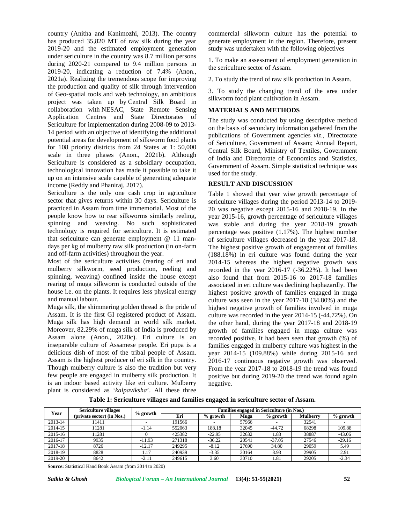country (Anitha and Kanimozhi, 2013). The country has produced 35,820 MT of raw silk during the year 2019-20 and the estimated employment generation under sericulture in the country was 8.7 million persons during 2020-21 compared to 9.4 million persons in 2019-20, indicating a reduction of 7.4% (Anon., 2021a). Realizing the tremendous scope for improving the production and quality of silk through intervention of Geo-spatial tools and web technology, an ambitious project was taken up by Central Silk Board in collaboration with NESAC, State Remote Sensing Application Centres and State Directorates of Sericulture for implementation during 2008-09 to 2013- 14 period with an objective of identifying the additional potential areas for development of silkworm food plants for 108 priority districts from 24 States at 1: 50,000 scale in three phases (Anon., 2021b). Although Sericulture is considered as a subsidiary occupation, technological innovation has made it possible to take it up on an intensive scale capable of generating adequate income (Reddy and Phaniraj, 2017).

Sericulture is the only one cash crop in agriculture sector that gives returns within 30 days. Sericulture is practiced in Assam from time immemorial. Most of the people know how to rear silkworms similarly reeling, spinning and weaving. No such sophisticated technology is required for sericulture. It is estimated that sericulture can generate employment @ 11 man days per kg of mulberry raw silk production (in on-farm and off-farm activities) throughout the year.

Most of the sericulture activities (rearing of eri and mulberry silkworm, seed production, reeling and spinning, weaving) confined inside the house except rearing of muga silkworm is conducted outside of the house i.e. on the plants. It requires less physical energy and manual labour.

Muga silk, the shimmering golden thread is the pride of Assam. It is the first GI registered product of Assam. Muga silk has high demand in world silk market. Moreover, 82.29% of muga silk of India is produced by Assam alone (Anon., 2020c). Eri culture is an inseparable culture of Assamese people. Eri pupa is a delicious dish of most of the tribal people of Assam. Assam is the highest producer of eri silk in the country. Though mulberry culture is also the tradition but very few people are engaged in mulberry silk production. It is an indoor based activity like eri culture. Mulberry plant is considered as '*kalpaviksha*'. All these three

commercial silkworm culture has the potential to generate employment in the region. Therefore, present study was undertaken with the following objectives

1. To make an assessment of employment generation in the sericulture sector of Assam.

2. To study the trend of raw silk production in Assam.

3. To study the changing trend of the area under silkworm food plant cultivation in Assam.

## **MATERIALS AND METHODS**

The study was conducted by using descriptive method on the basis of secondary information gathered from the publications of Government agencies *viz*., Directorate of Sericulture, Government of Assam; Annual Report, Central Silk Board, Ministry of Textiles, Government of India and Directorate of Economics and Statistics, Government of Assam. Simple statistical technique was used for the study.

### **RESULT AND DISCUSSION**

Table 1 showed that year wise growth percentage of sericulture villages during the period 2013-14 to 2019- 20 was negative except 2015-16 and 2018-19. In the year 2015-16, growth percentage of sericulture villages was stable and during the year 2018-19 growth percentage was positive (1.17%). The highest number of sericulture villages decreased in the year 2017-18. The highest positive growth of engagement of families (188.18%) in eri culture was found during the year 2014-15 whereas the highest negative growth was recorded in the year 2016-17 (-36.22%). It had been also found that from 2015-16 to 2017-18 families associated in eri culture was declining haphazardly. The highest positive growth of families engaged in muga culture was seen in the year 2017-18 (34.80%) and the highest negative growth of families involved in muga culture was recorded in the year 2014-15 (-44.72%). On the other hand, during the year 2017-18 and 2018-19 growth of families engaged in muga culture was recorded positive. It had been seen that growth (%) of families engaged in mulberry culture was highest in the year 2014-15 (109.88%) while during 2015-16 and 2016-17 continuous negative growth was observed. From the year 2017-18 to 2018-19 the trend was found positive but during 2019-20 the trend was found again negative.

| Table 1: Sericulture villages and families engaged in sericulture sector of Assam. |
|------------------------------------------------------------------------------------|
|------------------------------------------------------------------------------------|

| Year    | <b>Sericulture villages</b><br>(private sector) (in Nos.) | $%$ growth | Families engaged in Sericulture (in Nos.) |            |       |            |                 |            |  |
|---------|-----------------------------------------------------------|------------|-------------------------------------------|------------|-------|------------|-----------------|------------|--|
|         |                                                           |            | Eri                                       | $%$ growth | Muga  | $%$ growth | <b>Mulberry</b> | $%$ growth |  |
| 2013-14 | 1411                                                      |            | 191566                                    |            | 57966 |            | 32541           |            |  |
| 2014-15 | 1281                                                      | $-1.14$    | 552063                                    | 188.18     | 32045 | $-44.72$   | 68298           | 109.88     |  |
| 2015-16 | 1281                                                      |            | 425382                                    | $-22.95$   | 32632 | 1.83       | 38887           | $-43.06$   |  |
| 2016-17 | 9935                                                      | $-11.93$   | 271318                                    | $-36.22$   | 20541 | $-37.05$   | 27546           | $-29.16$   |  |
| 2017-18 | 8726                                                      | $-12.17$   | 249295                                    | $-8.12$    | 27690 | 34.80      | 29059           | 5.49       |  |
| 2018-19 | 8828                                                      | 1.17       | 240939                                    | $-3.35$    | 30164 | 8.93       | 29905           | 2.91       |  |
| 2019-20 | 8642                                                      | $-2.11$    | 249615                                    | 3.60       | 30710 | 1.81       | 29205           | $-2.34$    |  |

**Source:** Statistical Hand Book Assam (from 2014 to 2020)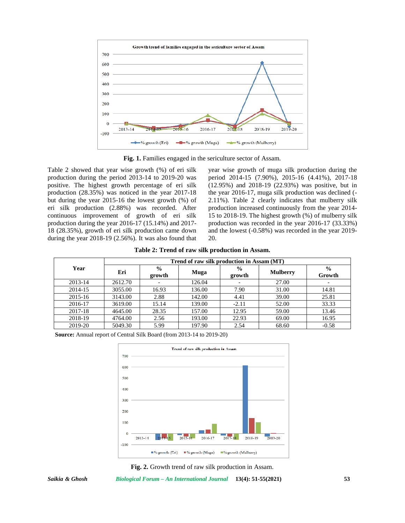

**Fig. 1.** Families engaged in the sericulture sector of Assam.

Table 2 showed that year wise growth (%) of eri silk production during the period 2013-14 to 2019-20 was positive. The highest growth percentage of eri silk production (28.35%) was noticed in the year 2017-18 but during the year 2015-16 the lowest growth (%) of eri silk production (2.88%) was recorded. After continuous improvement of growth of eri silk production during the year 2016-17 (15.14%) and 2017- 18 (28.35%), growth of eri silk production came down during the year 2018-19 (2.56%). It was also found that year wise growth of muga silk production during the period 2014-15 (7.90%), 2015-16 (4.41%), 2017-18 (12.95%) and 2018-19 (22.93%) was positive, but in the year 2016-17, muga silk production was declined (- 2.11%). Table 2 clearly indicates that mulberry silk production increased continuously from the year 2014- 15 to 2018-19. The highest growth (%) of mulberry silk production was recorded in the year 2016-17 (33.33%) and the lowest (-0.58%) was recorded in the year 2019- 20.

**Table 2: Trend of raw silk production in Assam.**

|         | Trend of raw silk production in Assam (MT) |                         |        |                         |                 |                         |  |  |
|---------|--------------------------------------------|-------------------------|--------|-------------------------|-----------------|-------------------------|--|--|
| Year    | Eri                                        | $\frac{6}{9}$<br>growth | Muga   | $\frac{0}{0}$<br>growth | <b>Mulberry</b> | $\frac{0}{0}$<br>Growth |  |  |
| 2013-14 | 2612.70                                    |                         | 126.04 |                         | 27.00           |                         |  |  |
| 2014-15 | 3055.00                                    | 16.93                   | 136.00 | 7.90                    | 31.00           | 14.81                   |  |  |
| 2015-16 | 3143.00                                    | 2.88                    | 142.00 | 4.41                    | 39.00           | 25.81                   |  |  |
| 2016-17 | 3619.00                                    | 15.14                   | 139.00 | $-2.11$                 | 52.00           | 33.33                   |  |  |
| 2017-18 | 4645.00                                    | 28.35                   | 157.00 | 12.95                   | 59.00           | 13.46                   |  |  |
| 2018-19 | 4764.00                                    | 2.56                    | 193.00 | 22.93                   | 69.00           | 16.95                   |  |  |
| 2019-20 | 5049.30                                    | 5.99                    | 197.90 | 2.54                    | 68.60           | $-0.58$                 |  |  |

**Source:** Annual report of Central Silk Board (from 2013-14 to 2019-20)





*Saikia & Ghosh Biological Forum – An International Journal* **13(4): 51-55(2021) 53**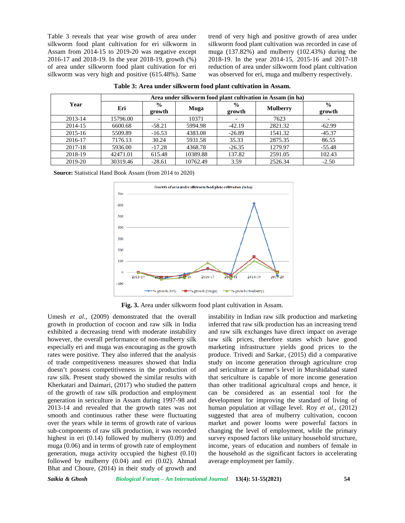Table 3 reveals that year wise growth of area under silkworm food plant cultivation for eri silkworm in Assam from 2014-15 to 2019-20 was negative except 2016-17 and 2018-19. In the year 2018-19, growth (%) of area under silkworm food plant cultivation for eri silkworm was very high and positive (615.48%). Same

trend of very high and positive growth of area under silkworm food plant cultivation was recorded in case of muga (137.82%) and mulberry (102.43%) during the 2018-19. In the year 2014-15, 2015-16 and 2017-18 reduction of area under silkworm food plant cultivation was observed for eri, muga and mulberry respectively.

|         | Area under silkworm food plant cultivation in Assam (in ha) |                         |          |                         |                 |                         |  |  |
|---------|-------------------------------------------------------------|-------------------------|----------|-------------------------|-----------------|-------------------------|--|--|
| Year    | Eri                                                         | $\frac{0}{0}$<br>growth | Muga     | $\frac{6}{6}$<br>growth | <b>Mulberry</b> | $\frac{0}{0}$<br>growth |  |  |
| 2013-14 | 15796.00                                                    |                         | 10371    |                         | 7623            |                         |  |  |
| 2014-15 | 6600.68                                                     | $-58.21$                | 5994.98  | $-42.19$                | 2821.32         | $-62.99$                |  |  |
| 2015-16 | 5509.89                                                     | $-16.53$                | 4383.08  | $-26.89$                | 1541.32         | $-45.37$                |  |  |
| 2016-17 | 7176.13                                                     | 30.24                   | 5931.58  | 35.33                   | 2875.35         | 86.55                   |  |  |
| 2017-18 | 5936.00                                                     | $-17.28$                | 4368.78  | $-26.35$                | 1279.97         | $-55.48$                |  |  |
| 2018-19 | 42471.01                                                    | 615.48                  | 10389.88 | 137.82                  | 2591.05         | 102.43                  |  |  |
| 2019-20 | 30319.46                                                    | $-28.61$                | 10762.49 | 3.59                    | 2526.34         | $-2.50$                 |  |  |

**Table 3: Area under silkworm food plant cultivation in Assam.**

**Source:** Statistical Hand Book Assam (from 2014 to 2020)



**Fig. 3.** Area under silkworm food plant cultivation in Assam.

Umesh *et al*., (2009) demonstrated that the overall growth in production of cocoon and raw silk in India exhibited a decreasing trend with moderate instability however, the overall performance of non-mulberry silk especially eri and muga was encouraging as the growth rates were positive. They also inferred that the analysis of trade competitiveness measures showed that India doesn't possess competitiveness in the production of raw silk. Present study showed the similar results with Kherkatari and Daimari, (2017) who studied the pattern of the growth of raw silk production and employment generation in sericulture in Assam during 1997-98 and 2013-14 and revealed that the growth rates was not smooth and continuous rather these were fluctuating over the years while in terms of growth rate of various sub-components of raw silk production, it was recorded highest in eri (0.14) followed by mulberry (0.09) and muga (0.06) and in terms of growth rate of employment generation, muga activity occupied the highest (0.10) followed by mulberry (0.04) and eri (0.02). Ahmad Bhat and Choure, (2014) in their study of growth and

instability in Indian raw silk production and marketing inferred that raw silk production has an increasing trend and raw silk exchanges have direct impact on average raw silk prices, therefore states which have good marketing infrastructure yields good prices to the produce. Trivedi and Sarkar, (2015) did a comparative study on income generation through agriculture crop and sericulture at farmer's level in Murshidabad stated that sericulture is capable of more income generation than other traditional agricultural crops and hence, it can be considered as an essential tool for the development for improving the standard of living of human population at village level. Roy *et al*., (2012) suggested that area of mulberry cultivation, cocoon market and power looms were powerful factors in changing the level of employment, while the primary survey exposed factors like unitary household structure, income, years of education and numbers of female in the household as the significant factors in accelerating average employment per family.